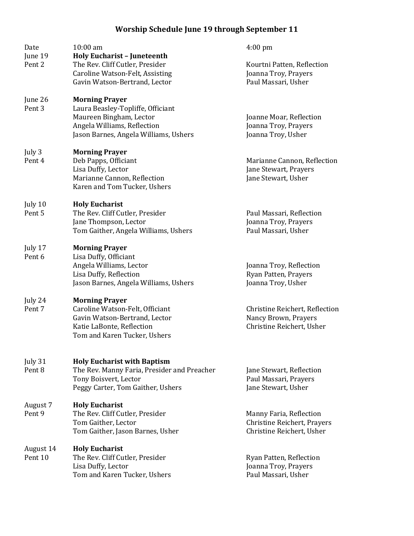## Worship Schedule June 19 through September 11

| Date<br>June 19              | 10:00 am<br><b>Holy Eucharist - Juneteenth</b>           | $4:00 \text{ pm}$              |
|------------------------------|----------------------------------------------------------|--------------------------------|
| Pent <sub>2</sub>            | The Rev. Cliff Cutler, Presider                          | Kourtni Patten, Reflection     |
|                              | Caroline Watson-Felt, Assisting                          | Joanna Troy, Prayers           |
|                              | Gavin Watson-Bertrand, Lector                            | Paul Massari, Usher            |
|                              |                                                          |                                |
| June 26                      | <b>Morning Prayer</b>                                    |                                |
| Pent <sub>3</sub>            | Laura Beasley-Topliffe, Officiant                        |                                |
|                              | Maureen Bingham, Lector                                  | Joanne Moar, Reflection        |
|                              | Angela Williams, Reflection                              | Joanna Troy, Prayers           |
|                              | Jason Barnes, Angela Williams, Ushers                    | Joanna Troy, Usher             |
| July 3                       | <b>Morning Prayer</b>                                    |                                |
| Pent 4                       | Deb Papps, Officiant                                     | Marianne Cannon, Reflection    |
|                              | Lisa Duffy, Lector                                       | Jane Stewart, Prayers          |
|                              | Marianne Cannon, Reflection                              | Jane Stewart, Usher            |
|                              | Karen and Tom Tucker, Ushers                             |                                |
|                              |                                                          |                                |
| July 10<br>Pent <sub>5</sub> | <b>Holy Eucharist</b><br>The Rev. Cliff Cutler, Presider | Paul Massari, Reflection       |
|                              | Jane Thompson, Lector                                    | Joanna Troy, Prayers           |
|                              | Tom Gaither, Angela Williams, Ushers                     | Paul Massari, Usher            |
|                              |                                                          |                                |
| July 17                      | <b>Morning Prayer</b>                                    |                                |
| Pent <sub>6</sub>            | Lisa Duffy, Officiant                                    |                                |
|                              | Angela Williams, Lector                                  | Joanna Troy, Reflection        |
|                              | Lisa Duffy, Reflection                                   | Ryan Patten, Prayers           |
|                              | Jason Barnes, Angela Williams, Ushers                    | Joanna Troy, Usher             |
| July 24                      | <b>Morning Prayer</b>                                    |                                |
| Pent 7                       | Caroline Watson-Felt, Officiant                          | Christine Reichert, Reflection |
|                              | Gavin Watson-Bertrand, Lector                            | Nancy Brown, Prayers           |
|                              | Katie LaBonte, Reflection                                | Christine Reichert, Usher      |
|                              | Tom and Karen Tucker, Ushers                             |                                |
|                              |                                                          |                                |
| July 31                      | <b>Holy Eucharist with Baptism</b>                       |                                |
| Pent <sub>8</sub>            | The Rev. Manny Faria, Presider and Preacher              | Jane Stewart, Reflection       |
|                              | Tony Boisvert, Lector                                    | Paul Massari, Prayers          |
|                              | Peggy Carter, Tom Gaither, Ushers                        | Jane Stewart, Usher            |
| August 7                     | <b>Holy Eucharist</b>                                    |                                |
| Pent <sub>9</sub>            | The Rev. Cliff Cutler, Presider                          | Manny Faria, Reflection        |
|                              | Tom Gaither, Lector                                      | Christine Reichert, Prayers    |
|                              | Tom Gaither, Jason Barnes, Usher                         | Christine Reichert, Usher      |
|                              |                                                          |                                |
| August 14<br>Pent 10         | <b>Holy Eucharist</b><br>The Rev. Cliff Cutler, Presider | Ryan Patten, Reflection        |
|                              | Lisa Duffy, Lector                                       | Joanna Troy, Prayers           |
|                              | Tom and Karen Tucker, Ushers                             | Paul Massari, Usher            |
|                              |                                                          |                                |